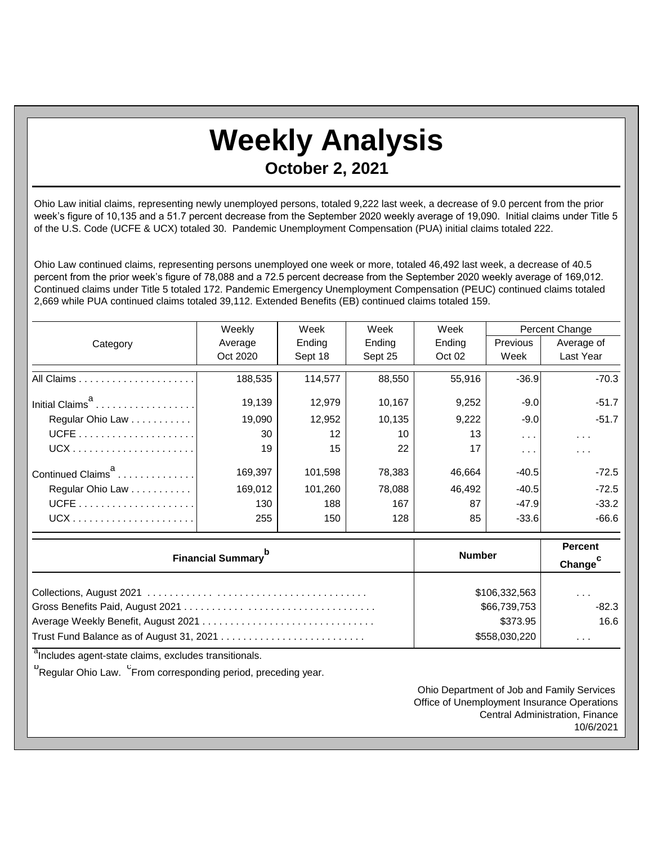## **Weekly Analysis October 2, 2021**

Ohio Law initial claims, representing newly unemployed persons, totaled 9,222 last week, a decrease of 9.0 percent from the prior week's figure of 10,135 and a 51.7 percent decrease from the September 2020 weekly average of 19,090. Initial claims under Title 5 of the U.S. Code (UCFE & UCX) totaled 30. Pandemic Unemployment Compensation (PUA) initial claims totaled 222.

Ohio Law continued claims, representing persons unemployed one week or more, totaled 46,492 last week, a decrease of 40.5 percent from the prior week's figure of 78,088 and a 72.5 percent decrease from the September 2020 weekly average of 169,012. Continued claims under Title 5 totaled 172. Pandemic Emergency Unemployment Compensation (PEUC) continued claims totaled 2,669 while PUA continued claims totaled 39,112. Extended Benefits (EB) continued claims totaled 159.

|                               | Weekly   | Week    | Week    | Week   | Percent Change       |                      |
|-------------------------------|----------|---------|---------|--------|----------------------|----------------------|
| Category                      | Average  | Ending  | Ending  | Ending | <b>Previous</b>      | Average of           |
|                               | Oct 2020 | Sept 18 | Sept 25 | Oct 02 | Week                 | Last Year            |
|                               | 188,535  | 114,577 | 88,550  | 55,916 | $-36.9$              | $-70.3$              |
| Initial Claims <sup>d</sup>   | 19.139   | 12,979  | 10,167  | 9,252  | $-9.0$               | $-51.7$              |
| Regular Ohio Law              | 19.090   | 12.952  | 10.135  | 9,222  | $-9.0$               | $-51.7$              |
|                               | 30       | 12      | 10      | 13     | $\sim$ $\sim$ $\sim$ | $\sim$ $\sim$ $\sim$ |
| $UCX$                         | 19       | 15      | 22      | 17     | $\cdots$             | $\sim$ $\sim$ $\sim$ |
| Continued Claims <sup>a</sup> | 169,397  | 101,598 | 78,383  | 46,664 | $-40.5$              | $-72.5$              |
| Regular Ohio Law              | 169.012  | 101.260 | 78,088  | 46.492 | $-40.5$              | $-72.5$              |
|                               | 130      | 188     | 167     | 87     | $-47.9$              | $-33.2$              |
|                               | 255      | 150     | 128     | 85     | $-33.6$              | $-66.6$              |

| <b>Financial Summary</b> <sup>p</sup> | <b>Number</b> | <b>Percent</b><br>Change <sup>c</sup> |
|---------------------------------------|---------------|---------------------------------------|
|                                       | \$106,332,563 | $\cdots$                              |
|                                       | \$66,739,753  | $-82.3$                               |
|                                       | \$373.95      | 16.6                                  |
|                                       | \$558,030,220 | $\cdots$                              |

<sup>a</sup>Includes agent-state claims, excludes transitionals.

<sup>b</sup>Regular Ohio Law. <sup>C</sup>From corresponding period, preceding year.

Ohio Department of Job and Family Services Office of Unemployment Insurance Operations Central Administration, Finance 10/6/2021